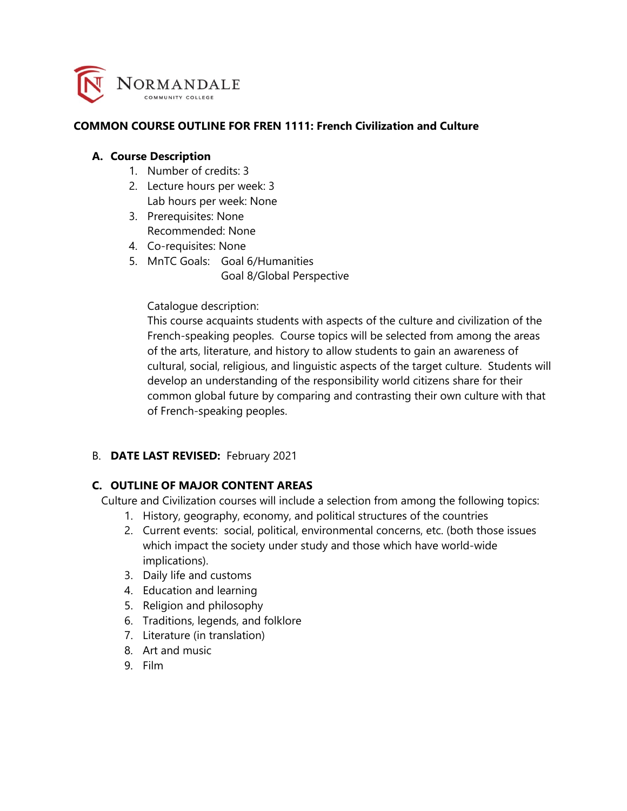

#### **COMMON COURSE OUTLINE FOR FREN 1111: French Civilization and Culture**

#### **A. Course Description**

- 1. Number of credits: 3
- 2. Lecture hours per week: 3 Lab hours per week: None
- 3. Prerequisites: None Recommended: None
- 4. Co-requisites: None
- 5. MnTC Goals: Goal 6/Humanities Goal 8/Global Perspective

#### Catalogue description:

This course acquaints students with aspects of the culture and civilization of the French-speaking peoples. Course topics will be selected from among the areas of the arts, literature, and history to allow students to gain an awareness of cultural, social, religious, and linguistic aspects of the target culture. Students will develop an understanding of the responsibility world citizens share for their common global future by comparing and contrasting their own culture with that of French-speaking peoples.

#### B. **DATE LAST REVISED:** February 2021

#### **C. OUTLINE OF MAJOR CONTENT AREAS**

Culture and Civilization courses will include a selection from among the following topics:

- 1. History, geography, economy, and political structures of the countries
- 2. Current events: social, political, environmental concerns, etc. (both those issues which impact the society under study and those which have world-wide implications).
- 3. Daily life and customs
- 4. Education and learning
- 5. Religion and philosophy
- 6. Traditions, legends, and folklore
- 7. Literature (in translation)
- 8. Art and music
- 9. Film